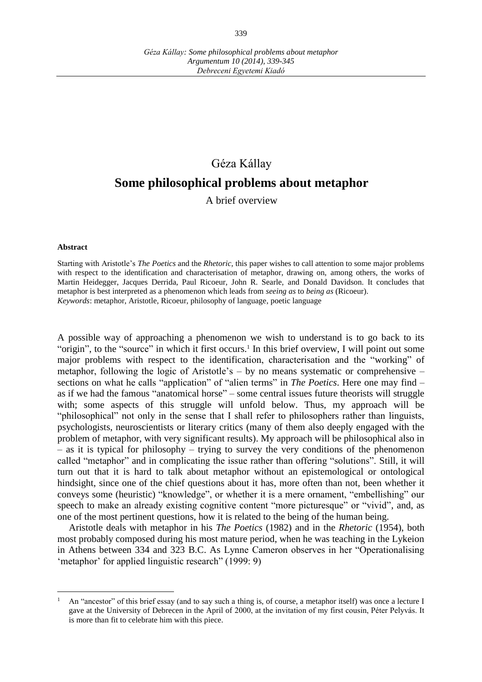## Géza Kállay **Some philosophical problems about metaphor**

A brief overview

## **Abstract**

 $\overline{a}$ 

Starting with Aristotle's *The Poetics* and the *Rhetoric,* this paper wishes to call attention to some major problems with respect to the identification and characterisation of metaphor, drawing on, among others, the works of Martin Heidegger, Jacques Derrida, Paul Ricoeur, John R. Searle, and Donald Davidson. It concludes that metaphor is best interpreted as a phenomenon which leads from *seeing as* to *being as* (Ricoeur). *Keywords*: metaphor, Aristotle, Ricoeur, philosophy of language, poetic language

A possible way of approaching a phenomenon we wish to understand is to go back to its "origin", to the "source" in which it first occurs.<sup>1</sup> In this brief overview, I will point out some major problems with respect to the identification, characterisation and the "working" of metaphor, following the logic of Aristotle's – by no means systematic or comprehensive – sections on what he calls "application" of "alien terms" in *The Poetics*. Here one may find – as if we had the famous "anatomical horse" – some central issues future theorists will struggle with; some aspects of this struggle will unfold below. Thus, my approach will be "philosophical" not only in the sense that I shall refer to philosophers rather than linguists, psychologists, neuroscientists or literary critics (many of them also deeply engaged with the problem of metaphor, with very significant results). My approach will be philosophical also in – as it is typical for philosophy – trying to survey the very conditions of the phenomenon called "metaphor" and in complicating the issue rather than offering "solutions". Still, it will turn out that it is hard to talk about metaphor without an epistemological or ontological hindsight, since one of the chief questions about it has, more often than not, been whether it conveys some (heuristic) "knowledge", or whether it is a mere ornament, "embellishing" our speech to make an already existing cognitive content "more picturesque" or "vivid", and, as one of the most pertinent questions, how it is related to the being of the human being.

Aristotle deals with metaphor in his *The Poetics* (1982) and in the *Rhetoric* (1954), both most probably composed during his most mature period, when he was teaching in the Lykeion in Athens between 334 and 323 B.C. As Lynne Cameron observes in her "Operationalising 'metaphor' for applied linguistic research" (1999: 9)

<sup>1</sup> An "ancestor" of this brief essay (and to say such a thing is, of course, a metaphor itself) was once a lecture I gave at the University of Debrecen in the April of 2000, at the invitation of my first cousin, Péter Pelyvás. It is more than fit to celebrate him with this piece.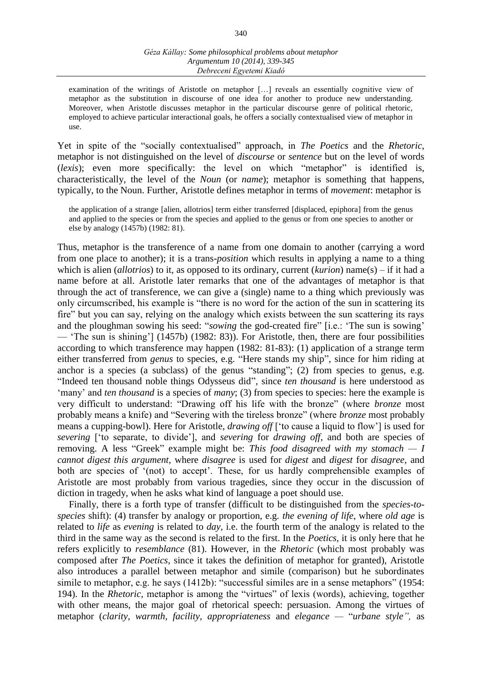examination of the writings of Aristotle on metaphor [...] reveals an essentially cognitive view of metaphor as the substitution in discourse of one idea for another to produce new understanding. Moreover, when Aristotle discusses metaphor in the particular discourse genre of political rhetoric, employed to achieve particular interactional goals, he offers a socially contextualised view of metaphor in use.

Yet in spite of the "socially contextualised" approach, in *The Poetics* and the *Rhetoric*, metaphor is not distinguished on the level of *discourse* or *sentence* but on the level of words (*lexis*); even more specifically: the level on which "metaphor" is identified is, characteristically, the level of the *Noun* (or *name*); metaphor is something that happens, typically, to the Noun. Further, Aristotle defines metaphor in terms of *movement*: metaphor is

the application of a strange [alien, allotrios] term either transferred [displaced, epiphora] from the genus and applied to the species or from the species and applied to the genus or from one species to another or else by analogy (1457b) (1982: 81).

Thus, metaphor is the transference of a name from one domain to another (carrying a word from one place to another); it is a trans-*position* which results in applying a name to a thing which is alien (*allotrios*) to it, as opposed to its ordinary, current (*kurion*) name(s) – if it had a name before at all. Aristotle later remarks that one of the advantages of metaphor is that through the act of transference, we can give a (single) name to a thing which previously was only circumscribed, his example is "there is no word for the action of the sun in scattering its fire" but you can say, relying on the analogy which exists between the sun scattering its rays and the ploughman sowing his seed: "*sowing* the god-created fire" [i.e.: 'The sun is sowing' — 'The sun is shining'] (1457b) (1982: 83)). For Aristotle, then, there are four possibilities according to which transference may happen (1982: 81-83): (1) application of a strange term either transferred from *genus* to species, e.g. "Here stands my ship", since for him riding at anchor is a species (a subclass) of the genus "standing"; (2) from species to genus, e.g. "Indeed ten thousand noble things Odysseus did"*,* since *ten thousand* is here understood as 'many' and *ten thousand* is a species of *many*; (3) from species to species: here the example is very difficult to understand: "Drawing off his life with the bronze" (where *bronze* most probably means a knife) and "Severing with the tireless bronze" (where *bronze* most probably means a cupping-bowl). Here for Aristotle, *drawing off* ['to cause a liquid to flow'] is used for *severing* ['to separate, to divide'], and *severing* for *drawing off*, and both are species of removing. A less "Greek" example might be: *This food disagreed with my stomach — I cannot digest this argument,* where *disagree* is used for *digest* and *digest* for *disagree*, and both are species of '(not) to accept'. These, for us hardly comprehensible examples of Aristotle are most probably from various tragedies, since they occur in the discussion of diction in tragedy, when he asks what kind of language a poet should use.

Finally, there is a forth type of transfer (difficult to be distinguished from the *species-tospecies* shift): (4) transfer by analogy or proportion, e.g. *the evening of life*, where *old age* is related to *life* as *evening* is related to *day,* i.e. the fourth term of the analogy is related to the third in the same way as the second is related to the first. In the *Poetics,* it is only here that he refers explicitly to *resemblance* (81). However, in the *Rhetoric* (which most probably was composed after *The Poetics*, since it takes the definition of metaphor for granted), Aristotle also introduces a parallel between metaphor and simile (comparison) but he subordinates simile to metaphor, e.g. he says (1412b): "successful similes are in a sense metaphors" (1954: 194). In the *Rhetoric,* metaphor is among the "virtues" of lexis (words), achieving, together with other means, the major goal of rhetorical speech: persuasion. Among the virtues of metaphor (*clarity, warmth, facility, appropriateness* and *elegance —* "*urbane style",* as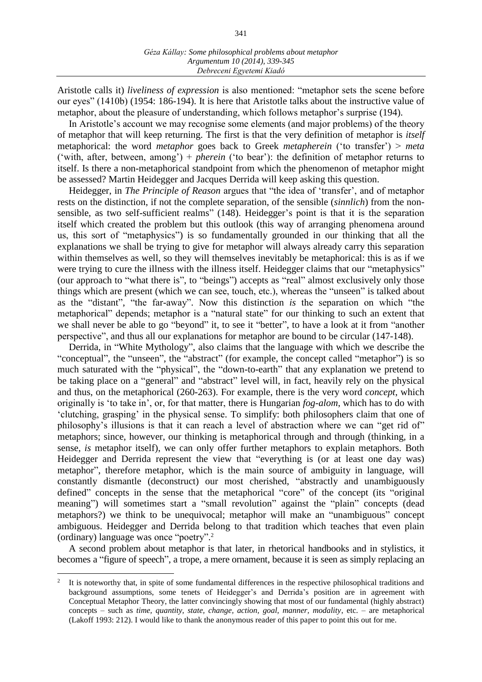Aristotle calls it) *liveliness of expression* is also mentioned: "metaphor sets the scene before our eyes" (1410b) (1954: 186-194). It is here that Aristotle talks about the instructive value of metaphor, about the pleasure of understanding, which follows metaphor's surprise (194).

In Aristotle's account we may recognise some elements (and major problems) of the theory of metaphor that will keep returning. The first is that the very definition of metaphor is *itself* metaphorical: the word *metaphor* goes back to Greek *metapherein* ('to transfer') > *meta* ('with, after, between, among') + *pherein* ('to bear'): the definition of metaphor returns to itself. Is there a non-metaphorical standpoint from which the phenomenon of metaphor might be assessed? Martin Heidegger and Jacques Derrida will keep asking this question.

Heidegger, in *The Principle of Reason* argues that "the idea of 'transfer', and of metaphor rests on the distinction, if not the complete separation, of the sensible (*sinnlich*) from the nonsensible, as two self-sufficient realms" (148). Heidegger's point is that it is the separation itself which created the problem but this outlook (this way of arranging phenomena around us, this sort of "metaphysics") is so fundamentally grounded in our thinking that all the explanations we shall be trying to give for metaphor will always already carry this separation within themselves as well, so they will themselves inevitably be metaphorical: this is as if we were trying to cure the illness with the illness itself. Heidegger claims that our "metaphysics" (our approach to "what there is", to "beings") accepts as "real" almost exclusively only those things which are present (which we can see, touch, etc.), whereas the "unseen" is talked about as the "distant", "the far-away". Now this distinction *is* the separation on which "the metaphorical" depends; metaphor is a "natural state" for our thinking to such an extent that we shall never be able to go "beyond" it, to see it "better", to have a look at it from "another perspective", and thus all our explanations for metaphor are bound to be circular (147-148).

Derrida, in "White Mythology", also claims that the language with which we describe the "conceptual", the "unseen", the "abstract" (for example, the concept called "metaphor") is so much saturated with the "physical", the "down-to-earth" that any explanation we pretend to be taking place on a "general" and "abstract" level will, in fact, heavily rely on the physical and thus, on the metaphorical (260-263). For example, there is the very word *concept*, which originally is 'to take in', or, for that matter, there is Hungarian *fog-alom*, which has to do with 'clutching, grasping' in the physical sense. To simplify: both philosophers claim that one of philosophy's illusions is that it can reach a level of abstraction where we can "get rid of" metaphors; since, however, our thinking is metaphorical through and through (thinking, in a sense, *is* metaphor itself), we can only offer further metaphors to explain metaphors. Both Heidegger and Derrida represent the view that "everything is (or at least one day was) metaphor", therefore metaphor, which is the main source of ambiguity in language, will constantly dismantle (deconstruct) our most cherished, "abstractly and unambiguously defined" concepts in the sense that the metaphorical "core" of the concept (its "original meaning") will sometimes start a "small revolution" against the "plain" concepts (dead metaphors?) we think to be unequivocal; metaphor will make an "unambiguous" concept ambiguous. Heidegger and Derrida belong to that tradition which teaches that even plain (ordinary) language was once "poetry". 2

A second problem about metaphor is that later, in rhetorical handbooks and in stylistics, it becomes a "figure of speech", a trope, a mere ornament, because it is seen as simply replacing an

 $\overline{a}$ 

<sup>2</sup> It is noteworthy that, in spite of some fundamental differences in the respective philosophical traditions and background assumptions, some tenets of Heidegger's and Derrida's position are in agreement with Conceptual Metaphor Theory, the latter convincingly showing that most of our fundamental (highly abstract) concepts – such as *time, quantity, state, change, action, goal, manner, modality*, etc. – are metaphorical (Lakoff 1993: 212). I would like to thank the anonymous reader of this paper to point this out for me.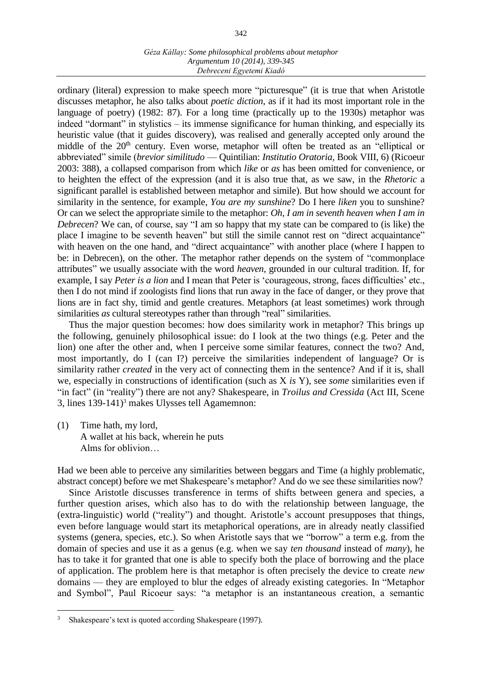## *Géza Kállay: Some philosophical problems about metaphor Argumentum 10 (2014), 339-345 Debreceni Egyetemi Kiadó*

ordinary (literal) expression to make speech more "picturesque" (it is true that when Aristotle discusses metaphor, he also talks about *poetic diction*, as if it had its most important role in the language of poetry) (1982: 87). For a long time (practically up to the 1930s) metaphor was indeed "dormant" in stylistics – its immense significance for human thinking, and especially its heuristic value (that it guides discovery), was realised and generally accepted only around the middle of the 20<sup>th</sup> century. Even worse, metaphor will often be treated as an "elliptical or abbreviated" simile (*brevior similitudo* — Quintilian: *Institutio Oratoria,* Book VIII, 6) (Ricoeur 2003: 388), a collapsed comparison from which *like* or *as* has been omitted for convenience, or to heighten the effect of the expression (and it is also true that, as we saw, in the *Rhetoric* a significant parallel is established between metaphor and simile). But how should we account for similarity in the sentence, for example, *You are my sunshine*? Do I here *liken* you to sunshine? Or can we select the appropriate simile to the metaphor: *Oh, I am in seventh heaven when I am in Debrecen*? We can, of course, say "I am so happy that my state can be compared to (is like) the place I imagine to be seventh heaven" but still the simile cannot rest on "direct acquaintance" with heaven on the one hand, and "direct acquaintance" with another place (where I happen to be: in Debrecen), on the other. The metaphor rather depends on the system of "commonplace attributes" we usually associate with the word *heaven*, grounded in our cultural tradition. If, for example, I say *Peter is a lion* and I mean that Peter is 'courageous, strong, faces difficulties' etc., then I do not mind if zoologists find lions that run away in the face of danger, or they prove that lions are in fact shy, timid and gentle creatures. Metaphors (at least sometimes) work through similarities *as* cultural stereotypes rather than through "real" similarities.

Thus the major question becomes: how does similarity work in metaphor? This brings up the following, genuinely philosophical issue: do I look at the two things (e.g. Peter and the lion) one after the other and, when I perceive some similar features, connect the two? And, most importantly, do I (can I?) perceive the similarities independent of language? Or is similarity rather *created* in the very act of connecting them in the sentence? And if it is, shall we, especially in constructions of identification (such as X *is* Y), see *some* similarities even if "in fact" (in "reality") there are not any? Shakespeare, in *Troilus and Cressida* (Act III, Scene 3, lines 139-141) <sup>3</sup> makes Ulysses tell Agamemnon:

(1) Time hath, my lord, A wallet at his back, wherein he puts Alms for oblivion…

Had we been able to perceive any similarities between beggars and Time (a highly problematic, abstract concept) before we met Shakespeare's metaphor? And do we see these similarities now?

Since Aristotle discusses transference in terms of shifts between genera and species, a further question arises, which also has to do with the relationship between language, the (extra-linguistic) world ("reality") and thought. Aristotle's account presupposes that things, even before language would start its metaphorical operations, are in already neatly classified systems (genera, species, etc.). So when Aristotle says that we "borrow" a term e.g. from the domain of species and use it as a genus (e.g. when we say *ten thousand* instead of *many*), he has to take it for granted that one is able to specify both the place of borrowing and the place of application. The problem here is that metaphor is often precisely the device to create *new* domains — they are employed to blur the edges of already existing categories. In "Metaphor and Symbol", Paul Ricoeur says: "a metaphor is an instantaneous creation, a semantic

 $\overline{a}$ 

<sup>3</sup> Shakespeare's text is quoted according Shakespeare (1997).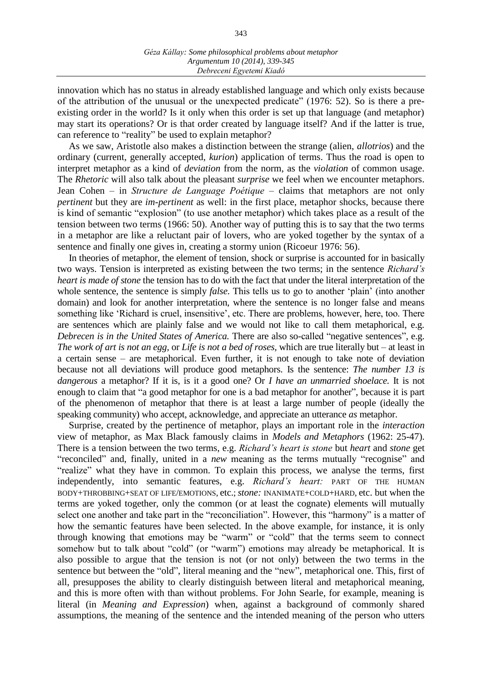innovation which has no status in already established language and which only exists because of the attribution of the unusual or the unexpected predicate" (1976: 52). So is there a preexisting order in the world? Is it only when this order is set up that language (and metaphor) may start its operations? Or is that order created by language itself? And if the latter is true, can reference to "reality" be used to explain metaphor?

As we saw, Aristotle also makes a distinction between the strange (alien, *allotrios*) and the ordinary (current, generally accepted, *kurion*) application of terms. Thus the road is open to interpret metaphor as a kind of *deviation* from the norm, as the *violation* of common usage. The *Rhetoric* will also talk about the pleasant *surprise* we feel when we encounter metaphors. Jean Cohen – in *Structure de Language Poétique* – claims that metaphors are not only *pertinent* but they are *im-pertinent* as well: in the first place, metaphor shocks, because there is kind of semantic "explosion" (to use another metaphor) which takes place as a result of the tension between two terms (1966: 50). Another way of putting this is to say that the two terms in a metaphor are like a reluctant pair of lovers, who are yoked together by the syntax of a sentence and finally one gives in, creating a stormy union (Ricoeur 1976: 56).

In theories of metaphor, the element of tension, shock or surprise is accounted for in basically two ways. Tension is interpreted as existing between the two terms; in the sentence *Richard's heart is made of stone* the tension has to do with the fact that under the literal interpretation of the whole sentence, the sentence is simply *false*. This tells us to go to another 'plain' (into another domain) and look for another interpretation, where the sentence is no longer false and means something like 'Richard is cruel, insensitive', etc. There are problems, however, here, too. There are sentences which are plainly false and we would not like to call them metaphorical, e.g. *Debrecen is in the United States of America. There are also so-called "negative sentences", e.g. The work of art is not an egg,* or *Life is not a bed of roses,* which are true literally but – at least in a certain sense – are metaphorical. Even further, it is not enough to take note of deviation because not all deviations will produce good metaphors. Is the sentence: *The number 13 is dangerous* a metaphor? If it is, is it a good one? Or *I have an unmarried shoelace.* It is not enough to claim that "a good metaphor for one is a bad metaphor for another", because it is part of the phenomenon of metaphor that there is at least a large number of people (ideally the speaking community) who accept, acknowledge, and appreciate an utterance *as* metaphor.

Surprise, created by the pertinence of metaphor, plays an important role in the *interaction* view of metaphor, as Max Black famously claims in *Models and Metaphors* (1962: 25-47). There is a tension between the two terms, e.g. *Richard's heart is stone* but *heart* and *stone* get "reconciled" and, finally, united in a *new* meaning as the terms mutually "recognise" and "realize" what they have in common. To explain this process, we analyse the terms, first independently, into semantic features, e.g. *Richard's heart:* PART OF THE HUMAN BODY+THROBBING+SEAT OF LIFE/EMOTIONS, etc.;*stone:* INANIMATE+COLD+HARD, etc. but when the terms are yoked together, only the common (or at least the cognate) elements will mutually select one another and take part in the "reconciliation". However, this "harmony" is a matter of how the semantic features have been selected. In the above example, for instance, it is only through knowing that emotions may be "warm" or "cold" that the terms seem to connect somehow but to talk about "cold" (or "warm") emotions may already be metaphorical. It is also possible to argue that the tension is not (or not only) between the two terms in the sentence but between the "old", literal meaning and the "new", metaphorical one. This, first of all, presupposes the ability to clearly distinguish between literal and metaphorical meaning, and this is more often with than without problems. For John Searle, for example, meaning is literal (in *Meaning and Expression*) when, against a background of commonly shared assumptions, the meaning of the sentence and the intended meaning of the person who utters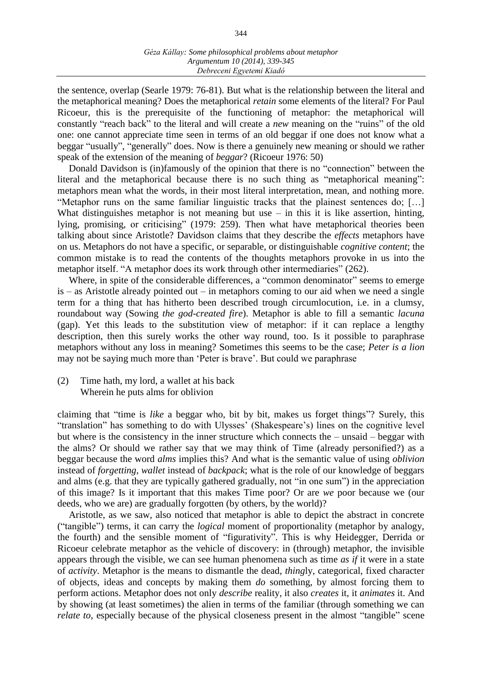the sentence, overlap (Searle 1979: 76-81). But what is the relationship between the literal and the metaphorical meaning? Does the metaphorical *retain* some elements of the literal? For Paul Ricoeur, this is the prerequisite of the functioning of metaphor: the metaphorical will constantly "reach back" to the literal and will create a *new* meaning on the "ruins" of the old one: one cannot appreciate time seen in terms of an old beggar if one does not know what a beggar "usually", "generally" does. Now is there a genuinely new meaning or should we rather speak of the extension of the meaning of *beggar*? (Ricoeur 1976: 50)

Donald Davidson is (in)famously of the opinion that there is no "connection" between the literal and the metaphorical because there is no such thing as "metaphorical meaning": metaphors mean what the words, in their most literal interpretation, mean, and nothing more. "Metaphor runs on the same familiar linguistic tracks that the plainest sentences do; […] What distinguishes metaphor is not meaning but use  $-$  in this it is like assertion, hinting, lying, promising, or criticising" (1979: 259). Then what have metaphorical theories been talking about since Aristotle? Davidson claims that they describe the *effects* metaphors have on us. Metaphors do not have a specific, or separable, or distinguishable *cognitive content*; the common mistake is to read the contents of the thoughts metaphors provoke in us into the metaphor itself. "A metaphor does its work through other intermediaries" (262).

Where, in spite of the considerable differences, a "common denominator" seems to emerge  $is - as$  Aristotle already pointed out – in metaphors coming to our aid when we need a single term for a thing that has hitherto been described trough circumlocution, i.e. in a clumsy, roundabout way (Sowing *the god-created fire*). Metaphor is able to fill a semantic *lacuna* (gap). Yet this leads to the substitution view of metaphor: if it can replace a lengthy description, then this surely works the other way round, too. Is it possible to paraphrase metaphors without any loss in meaning? Sometimes this seems to be the case; *Peter is a lion*  may not be saying much more than 'Peter is brave'. But could we paraphrase

(2) Time hath, my lord, a wallet at his back Wherein he puts alms for oblivion

claiming that "time is *like* a beggar who, bit by bit, makes us forget things"? Surely, this "translation" has something to do with Ulysses' (Shakespeare's) lines on the cognitive level but where is the consistency in the inner structure which connects the – unsaid – beggar with the alms? Or should we rather say that we may think of Time (already personified?) as a beggar because the word *alms* implies this? And what is the semantic value of using *oblivion* instead of *forgetting*, *wallet* instead of *backpack*; what is the role of our knowledge of beggars and alms (e.g. that they are typically gathered gradually, not "in one sum") in the appreciation of this image? Is it important that this makes Time poor? Or are *we* poor because we (our deeds, who we are) are gradually forgotten (by others, by the world)?

Aristotle, as we saw, also noticed that metaphor is able to depict the abstract in concrete ("tangible") terms, it can carry the *logical* moment of proportionality (metaphor by analogy, the fourth) and the sensible moment of "figurativity". This is why Heidegger, Derrida or Ricoeur celebrate metaphor as the vehicle of discovery: in (through) metaphor, the invisible appears through the visible, we can see human phenomena such as time *as if* it were in a state of *activity*. Metaphor is the means to dismantle the dead, *thing*ly, categorical, fixed character of objects, ideas and concepts by making them *do* something, by almost forcing them to perform actions. Metaphor does not only *describe* reality, it also *creates* it, it *animates* it. And by showing (at least sometimes) the alien in terms of the familiar (through something we can *relate to*, especially because of the physical closeness present in the almost "tangible" scene